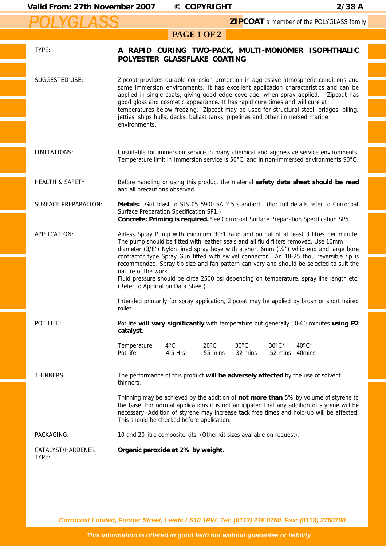## Valid From: 27th November 2007 © COPYRIGHT 2/38 A

 *POLYGLASS*

**ZIPCOAT** a member of the POLYGLASS family

## **PAGE 1 OF 2**

| TYPE:                       | POLYESTER GLASSFLAKE COATING                                                                                                                                                                                                                                                                                                                                                                                                                                                                                                                                                                                                        |                          |                           |                           |                            | A RAPID CURING TWO-PACK, MULTI-MONOMER ISOPHTHALIC                                        |  |
|-----------------------------|-------------------------------------------------------------------------------------------------------------------------------------------------------------------------------------------------------------------------------------------------------------------------------------------------------------------------------------------------------------------------------------------------------------------------------------------------------------------------------------------------------------------------------------------------------------------------------------------------------------------------------------|--------------------------|---------------------------|---------------------------|----------------------------|-------------------------------------------------------------------------------------------|--|
| SUGGESTED USE:              | Zipcoat provides durable corrosion protection in aggressive atmospheric conditions and<br>some immersion environments. It has excellent application characteristics and can be<br>applied in single coats, giving good edge coverage, when spray applied.  Zipcoat has<br>good gloss and cosmetic appearance. It has rapid cure times and will cure at<br>temperatures below freezing. Zipcoat may be used for structural steel, bridges, piling,<br>jetties, ships hulls, decks, ballast tanks, pipelines and other immersed marine<br>environments.                                                                               |                          |                           |                           |                            |                                                                                           |  |
| LIMITATIONS:                | Unsuitable for immersion service in many chemical and aggressive service environments.<br>Temperature limit in Immersion service is 50°C, and in non-immersed environments 90°C.                                                                                                                                                                                                                                                                                                                                                                                                                                                    |                          |                           |                           |                            |                                                                                           |  |
| <b>HEALTH &amp; SAFETY</b>  | Before handling or using this product the material safety data sheet should be read<br>and all precautions observed.                                                                                                                                                                                                                                                                                                                                                                                                                                                                                                                |                          |                           |                           |                            |                                                                                           |  |
| <b>SURFACE PREPARATION:</b> | Metals: Grit blast to SIS 05 5900 SA 2.5 standard. (For full details refer to Corrocoat<br>Surface Preparation Specification SP1.)<br>Concrete: Priming is required. See Corrocoat Surface Preparation Specification SP5.                                                                                                                                                                                                                                                                                                                                                                                                           |                          |                           |                           |                            |                                                                                           |  |
| APPLICATION:                | Airless Spray Pump with minimum 30:1 ratio and output of at least 3 litres per minute.<br>The pump should be fitted with leather seals and all fluid filters removed. Use 10mm<br>diameter (3/8") Nylon lined spray hose with a short 6mm ( $\frac{1}{4}$ ") whip end and large bore<br>contractor type Spray Gun fitted with swivel connector. An 18-25 thou reversible tip is<br>recommended. Spray tip size and fan pattern can vary and should be selected to suit the<br>nature of the work.<br>Fluid pressure should be circa 2500 psi depending on temperature, spray line length etc.<br>(Refer to Application Data Sheet). |                          |                           |                           |                            |                                                                                           |  |
|                             | roller.                                                                                                                                                                                                                                                                                                                                                                                                                                                                                                                                                                                                                             |                          |                           |                           |                            | Intended primarily for spray application, Zipcoat may be applied by brush or short haired |  |
| POT LIFE:                   | Pot life will vary significantly with temperature but generally 50-60 minutes using P2<br>catalyst.                                                                                                                                                                                                                                                                                                                                                                                                                                                                                                                                 |                          |                           |                           |                            |                                                                                           |  |
|                             | Temperature<br>Pot life                                                                                                                                                                                                                                                                                                                                                                                                                                                                                                                                                                                                             | $4^{\circ}$ C<br>4.5 Hrs | $20^{\circ}$ C<br>55 mins | $30^{\circ}$ C<br>32 mins | $30^{\circ}$ C*<br>52 mins | $40^{\circ}$ C*<br>40mins                                                                 |  |
| THINNERS:                   | The performance of this product will be adversely affected by the use of solvent<br>thinners.                                                                                                                                                                                                                                                                                                                                                                                                                                                                                                                                       |                          |                           |                           |                            |                                                                                           |  |
|                             | Thinning may be achieved by the addition of not more than 5% by volume of styrene to<br>the base. For normal applications it is not anticipated that any addition of styrene will be<br>necessary. Addition of styrene may increase tack free times and hold-up will be affected.<br>This should be checked before application.                                                                                                                                                                                                                                                                                                     |                          |                           |                           |                            |                                                                                           |  |
| PACKAGING:                  | 10 and 20 litre composite kits. (Other kit sizes available on request).                                                                                                                                                                                                                                                                                                                                                                                                                                                                                                                                                             |                          |                           |                           |                            |                                                                                           |  |
| CATALYST/HARDENER<br>TYPE:  | Organic peroxide at 2% by weight.                                                                                                                                                                                                                                                                                                                                                                                                                                                                                                                                                                                                   |                          |                           |                           |                            |                                                                                           |  |

*Corrocoat Limited, Forster Street, Leeds LS10 1PW. Tel: (0113) 276 0760. Fax: (***0113***) 2760700*